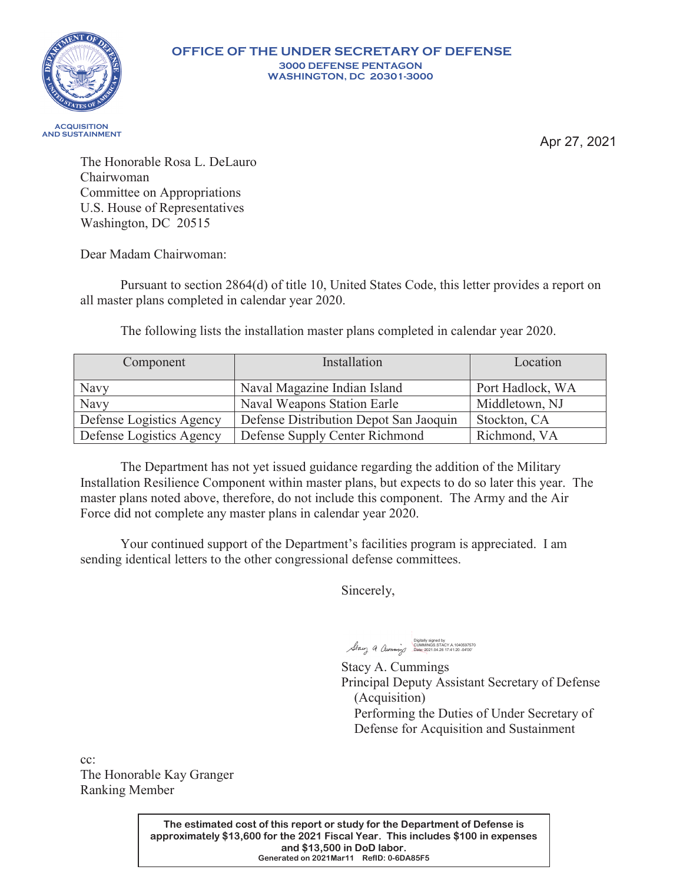

Apr 27, 2021

The Honorable Rosa L. DeLauro Chairwoman Committee on Appropriations U.S. House of Representatives Washington, DC 20515

Dear Madam Chairwoman:

Pursuant to section 2864(d) of title 10, United States Code, this letter provides a report on all master plans completed in calendar year 2020.

The following lists the installation master plans completed in calendar year 2020.

| Component                | Installation                           | Location         |
|--------------------------|----------------------------------------|------------------|
| Navy                     | Naval Magazine Indian Island           | Port Hadlock, WA |
| Navy                     | Naval Weapons Station Earle            | Middletown, NJ   |
| Defense Logistics Agency | Defense Distribution Depot San Jaoquin | Stockton, CA     |
| Defense Logistics Agency | Defense Supply Center Richmond         | Richmond, VA     |

The Department has not yet issued guidance regarding the addition of the Military Installation Resilience Component within master plans, but expects to do so later this year. The master plans noted above, therefore, do not include this component. The Army and the Air Force did not complete any master plans in calendar year 2020.

Your continued support of the Department's facilities program is appreciated. I am sending identical letters to the other congressional defense committees.

Sincerely,

Digitally signed by CUMMINGS.STACY.A.1040597570 Date: 2021.04.26 17:41:20 -04'00'

Stacy A. Cummings Principal Deputy Assistant Secretary of Defense (Acquisition) Performing the Duties of Under Secretary of Defense for Acquisition and Sustainment

cc: The Honorable Kay Granger Ranking Member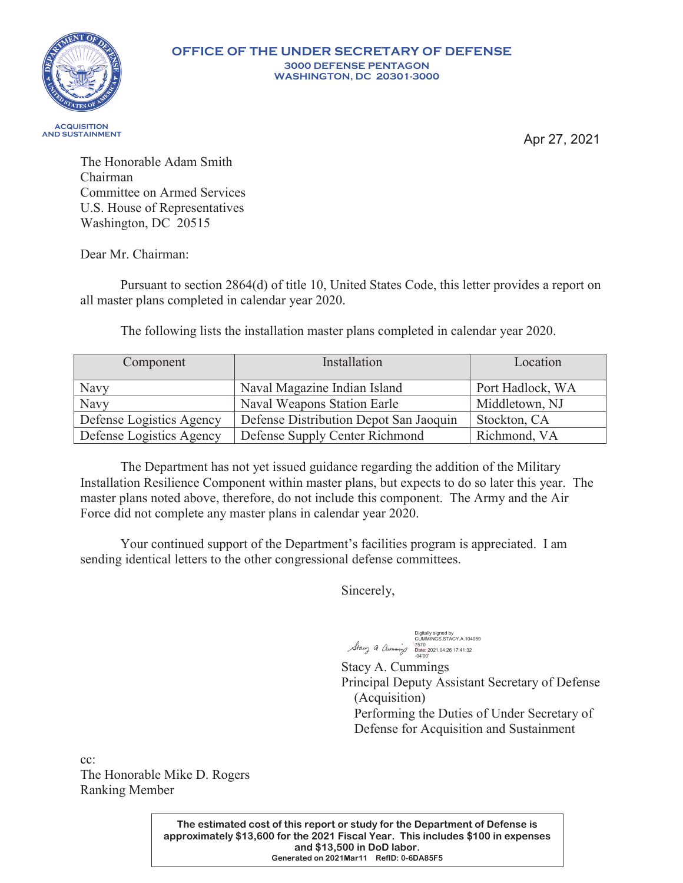

Apr 27, 2021

The Honorable Adam Smith Chairman Committee on Armed Services U.S. House of Representatives Washington, DC 20515

Dear Mr. Chairman:

Pursuant to section 2864(d) of title 10, United States Code, this letter provides a report on all master plans completed in calendar year 2020.

The following lists the installation master plans completed in calendar year 2020.

| Component                | Installation                           | Location         |
|--------------------------|----------------------------------------|------------------|
| Navy                     | Naval Magazine Indian Island           | Port Hadlock, WA |
| Navy                     | Naval Weapons Station Earle            | Middletown, NJ   |
| Defense Logistics Agency | Defense Distribution Depot San Jaoquin | Stockton, CA     |
| Defense Logistics Agency | Defense Supply Center Richmond         | Richmond, VA     |

The Department has not yet issued guidance regarding the addition of the Military Installation Resilience Component within master plans, but expects to do so later this year. The master plans noted above, therefore, do not include this component. The Army and the Air Force did not complete any master plans in calendar year 2020.

Your continued support of the Department's facilities program is appreciated. I am sending identical letters to the other congressional defense committees.

Sincerely,

Digitally signed by<br>CUMMINGS.STACY.A.104059<br>7570<br>Date: 2021.04.26 17:41:32<br>-04'00'

Stacy A. Cummings Principal Deputy Assistant Secretary of Defense (Acquisition) Performing the Duties of Under Secretary of Defense for Acquisition and Sustainment

cc: The Honorable Mike D. Rogers Ranking Member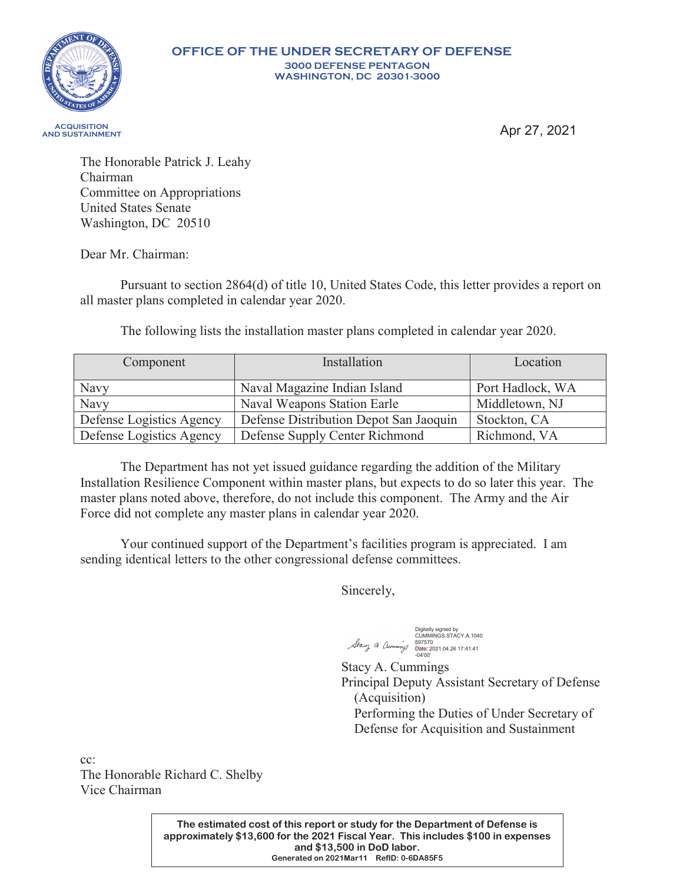

## **OFFICE OF THE UNDER SECRETARY OF DEFENSE 300 DEFENSE PENTAGON WASHINGTON, DC 20301-300**

 **AND SUSTAINMENT**

Apr 27, 2021

The Honorable Patrick J. Leahy Chairman Committee on Appropriations United States Senate Washington, DC 20510

Dear Mr. Chairman:

Pursuant to section 2864(d) of title 10, United States Code, this letter provides a report on all master plans completed in calendar year 2020.

The following lists the installation master plans completed in calendar year 2020.

| Component                | Installation                           | Location         |
|--------------------------|----------------------------------------|------------------|
| Navy                     | Naval Magazine Indian Island           | Port Hadlock, WA |
| Navy                     | Naval Weapons Station Earle            | Middletown, NJ   |
| Defense Logistics Agency | Defense Distribution Depot San Jaoquin | Stockton, CA     |
| Defense Logistics Agency | Defense Supply Center Richmond         | Richmond, VA     |

The Department has not yet issued guidance regarding the addition of the Military Installation Resilience Component within master plans, but expects to do so later this year. The master plans noted above, therefore, do not include this component. The Army and the Air Force did not complete any master plans in calendar year 2020.

Your continued support of the Department's facilities program is appreciated. I am sending identical letters to the other congressional defense committees.

Sincerely,

Digitally signed by CUMMINGS.STACY.A.1040 597570 Date: 2021.04.26 17:41:41 -04'00'

Stacy A. Cummings Principal Deputy Assistant Secretary of Defense (Acquisition) Performing the Duties of Under Secretary of Defense for Acquisition and Sustainment

cc: The Honorable Richard C. Shelby Vice Chairman